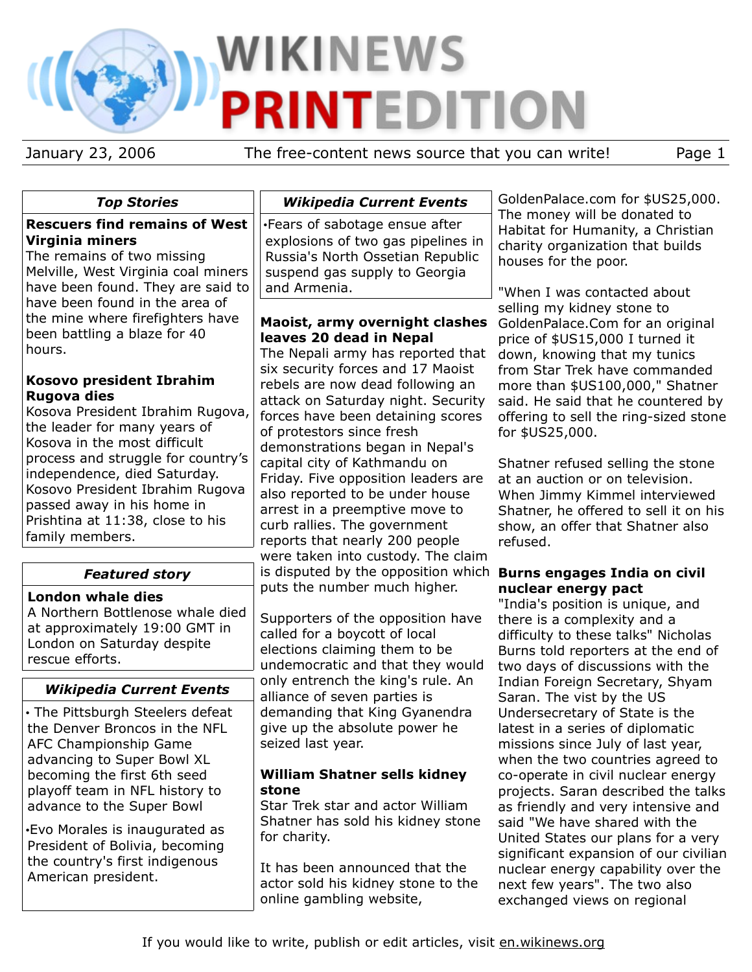# **WIKINEWS PRINTEDITION**

January 23, 2006 The free-content news source that you can write! Page 1

## *Top Stories*

#### **Rescuers find remains of West Virginia miners**

The remains of two missing Melville, West Virginia coal miners have been found. They are said to have been found in the area of the mine where firefighters have been battling a blaze for 40 hours.

#### **Kosovo president Ibrahim Rugova dies**

Kosova President Ibrahim Rugova, the leader for many years of Kosova in the most difficult process and struggle for country's independence, died Saturday. Kosovo President Ibrahim Rugova passed away in his home in Prishtina at 11:38, close to his family members.

# *Featured story*

#### **London whale dies**

A Northern Bottlenose whale died at approximately 19:00 GMT in London on Saturday despite rescue efforts.

# *Wikipedia Current Events*

• The Pittsburgh Steelers defeat the Denver Broncos in the NFL AFC Championship Game advancing to Super Bowl XL becoming the first 6th seed playoff team in NFL history to advance to the Super Bowl

•Evo Morales is inaugurated as President of Bolivia, becoming the country's first indigenous American president.

## *Wikipedia Current Events*

•Fears of sabotage ensue after explosions of two gas pipelines in Russia's North Ossetian Republic suspend gas supply to Georgia and Armenia.

#### **Maoist, army overnight clashes leaves 20 dead in Nepal**

The Nepali army has reported that six security forces and 17 Maoist rebels are now dead following an attack on Saturday night. Security forces have been detaining scores of protestors since fresh demonstrations began in Nepal's capital city of Kathmandu on Friday. Five opposition leaders are also reported to be under house arrest in a preemptive move to curb rallies. The government reports that nearly 200 people were taken into custody. The claim is disputed by the opposition which **Burns engages India on civil** puts the number much higher.

Supporters of the opposition have called for a boycott of local elections claiming them to be undemocratic and that they would only entrench the king's rule. An alliance of seven parties is demanding that King Gyanendra give up the absolute power he seized last year.

#### **William Shatner sells kidney stone**

Star Trek star and actor William Shatner has sold his kidney stone for charity.

It has been announced that the actor sold his kidney stone to the online gambling website,

GoldenPalace.com for \$US25,000. The money will be donated to Habitat for Humanity, a Christian charity organization that builds houses for the poor.

"When I was contacted about selling my kidney stone to GoldenPalace.Com for an original price of \$US15,000 I turned it down, knowing that my tunics from Star Trek have commanded more than \$US100,000," Shatner said. He said that he countered by offering to sell the ring-sized stone for \$US25,000.

Shatner refused selling the stone at an auction or on television. When Jimmy Kimmel interviewed Shatner, he offered to sell it on his show, an offer that Shatner also refused.

# **nuclear energy pact**

"India's position is unique, and there is a complexity and a difficulty to these talks" Nicholas Burns told reporters at the end of two days of discussions with the Indian Foreign Secretary, Shyam Saran. The vist by the US Undersecretary of State is the latest in a series of diplomatic missions since July of last year, when the two countries agreed to co-operate in civil nuclear energy projects. Saran described the talks as friendly and very intensive and said "We have shared with the United States our plans for a very significant expansion of our civilian nuclear energy capability over the next few years". The two also exchanged views on regional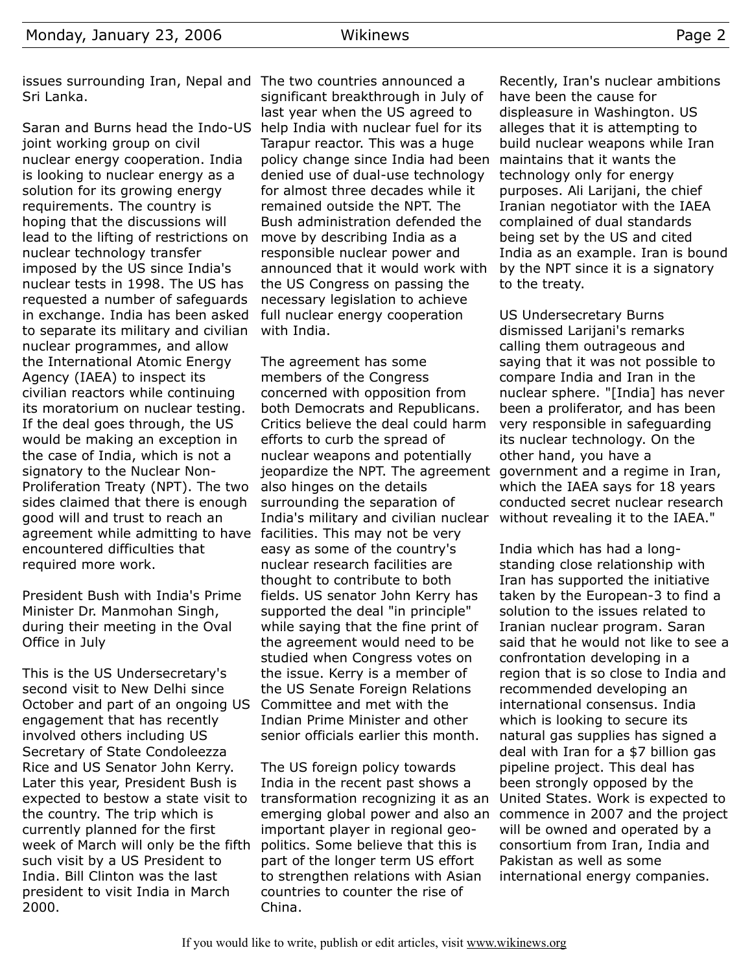Saran and Burns head the Indo-US help India with nuclear fuel for its joint working group on civil nuclear energy cooperation. India is looking to nuclear energy as a solution for its growing energy requirements. The country is hoping that the discussions will lead to the lifting of restrictions on nuclear technology transfer imposed by the US since India's nuclear tests in 1998. The US has requested a number of safeguards in exchange. India has been asked to separate its military and civilian nuclear programmes, and allow the International Atomic Energy Agency (IAEA) to inspect its civilian reactors while continuing its moratorium on nuclear testing. If the deal goes through, the US would be making an exception in the case of India, which is not a signatory to the Nuclear Non-Proliferation Treaty (NPT). The two sides claimed that there is enough good will and trust to reach an agreement while admitting to have facilities. This may not be very encountered difficulties that required more work.

President Bush with India's Prime Minister Dr. Manmohan Singh, during their meeting in the Oval Office in July

This is the US Undersecretary's second visit to New Delhi since October and part of an ongoing US Committee and met with the engagement that has recently involved others including US Secretary of State Condoleezza Rice and US Senator John Kerry. Later this year, President Bush is expected to bestow a state visit to the country. The trip which is currently planned for the first week of March will only be the fifth such visit by a US President to India. Bill Clinton was the last president to visit India in March 2000.

significant breakthrough in July of last year when the US agreed to Tarapur reactor. This was a huge policy change since India had been denied use of dual-use technology for almost three decades while it remained outside the NPT. The Bush administration defended the move by describing India as a responsible nuclear power and announced that it would work with the US Congress on passing the necessary legislation to achieve full nuclear energy cooperation with India.

The agreement has some members of the Congress concerned with opposition from both Democrats and Republicans. Critics believe the deal could harm efforts to curb the spread of nuclear weapons and potentially jeopardize the NPT. The agreement government and a regime in Iran, also hinges on the details surrounding the separation of India's military and civilian nuclear easy as some of the country's nuclear research facilities are thought to contribute to both fields. US senator John Kerry has supported the deal "in principle" while saying that the fine print of the agreement would need to be studied when Congress votes on the issue. Kerry is a member of the US Senate Foreign Relations Indian Prime Minister and other senior officials earlier this month.

The US foreign policy towards India in the recent past shows a transformation recognizing it as an emerging global power and also an important player in regional geopolitics. Some believe that this is part of the longer term US effort to strengthen relations with Asian countries to counter the rise of China.

Recently, Iran's nuclear ambitions have been the cause for displeasure in Washington. US alleges that it is attempting to build nuclear weapons while Iran maintains that it wants the technology only for energy purposes. Ali Larijani, the chief Iranian negotiator with the IAEA complained of dual standards being set by the US and cited India as an example. Iran is bound by the NPT since it is a signatory to the treaty.

US Undersecretary Burns dismissed Larijani's remarks calling them outrageous and saying that it was not possible to compare India and Iran in the nuclear sphere. "[India] has never been a proliferator, and has been very responsible in safeguarding its nuclear technology. On the other hand, you have a which the IAEA says for 18 years conducted secret nuclear research without revealing it to the IAEA."

India which has had a longstanding close relationship with Iran has supported the initiative taken by the European-3 to find a solution to the issues related to Iranian nuclear program. Saran said that he would not like to see a confrontation developing in a region that is so close to India and recommended developing an international consensus. India which is looking to secure its natural gas supplies has signed a deal with Iran for a \$7 billion gas pipeline project. This deal has been strongly opposed by the United States. Work is expected to commence in 2007 and the project will be owned and operated by a consortium from Iran, India and Pakistan as well as some international energy companies.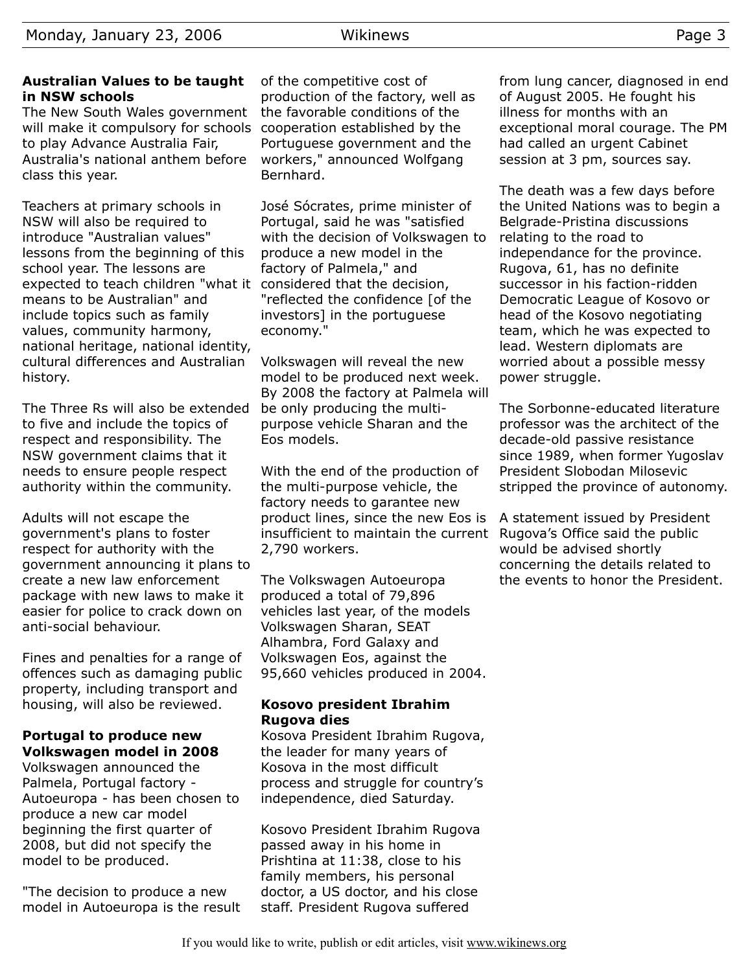#### **Australian Values to be taught in NSW schools**

The New South Wales government will make it compulsory for schools cooperation established by the to play Advance Australia Fair, Australia's national anthem before class this year.

Teachers at primary schools in NSW will also be required to introduce "Australian values" lessons from the beginning of this school year. The lessons are expected to teach children "what it considered that the decision, means to be Australian" and include topics such as family values, community harmony, national heritage, national identity, cultural differences and Australian history.

The Three Rs will also be extended to five and include the topics of respect and responsibility. The NSW government claims that it needs to ensure people respect authority within the community.

Adults will not escape the government's plans to foster respect for authority with the government announcing it plans to create a new law enforcement package with new laws to make it easier for police to crack down on anti-social behaviour.

Fines and penalties for a range of offences such as damaging public property, including transport and housing, will also be reviewed.

# **Portugal to produce new Volkswagen model in 2008**

Volkswagen announced the Palmela, Portugal factory - Autoeuropa - has been chosen to produce a new car model beginning the first quarter of 2008, but did not specify the model to be produced.

"The decision to produce a new model in Autoeuropa is the result

of the competitive cost of production of the factory, well as the favorable conditions of the Portuguese government and the workers," announced Wolfgang Bernhard.

José Sócrates, prime minister of Portugal, said he was "satisfied with the decision of Volkswagen to produce a new model in the factory of Palmela," and "reflected the confidence [of the investors] in the portuguese economy."

Volkswagen will reveal the new model to be produced next week. By 2008 the factory at Palmela will be only producing the multipurpose vehicle Sharan and the Eos models.

With the end of the production of the multi-purpose vehicle, the factory needs to garantee new product lines, since the new Eos is insufficient to maintain the current 2,790 workers.

The Volkswagen Autoeuropa produced a total of 79,896 vehicles last year, of the models Volkswagen Sharan, SEAT Alhambra, Ford Galaxy and Volkswagen Eos, against the 95,660 vehicles produced in 2004.

#### **Kosovo president Ibrahim Rugova dies**

Kosova President Ibrahim Rugova, the leader for many years of Kosova in the most difficult process and struggle for country's independence, died Saturday.

Kosovo President Ibrahim Rugova passed away in his home in Prishtina at 11:38, close to his family members, his personal doctor, a US doctor, and his close staff. President Rugova suffered

from lung cancer, diagnosed in end of August 2005. He fought his illness for months with an exceptional moral courage. The PM had called an urgent Cabinet session at 3 pm, sources say.

The death was a few days before the United Nations was to begin a Belgrade-Pristina discussions relating to the road to independance for the province. Rugova, 61, has no definite successor in his faction-ridden Democratic League of Kosovo or head of the Kosovo negotiating team, which he was expected to lead. Western diplomats are worried about a possible messy power struggle.

The Sorbonne-educated literature professor was the architect of the decade-old passive resistance since 1989, when former Yugoslav President Slobodan Milosevic stripped the province of autonomy.

A statement issued by President Rugova's Office said the public would be advised shortly concerning the details related to the events to honor the President.